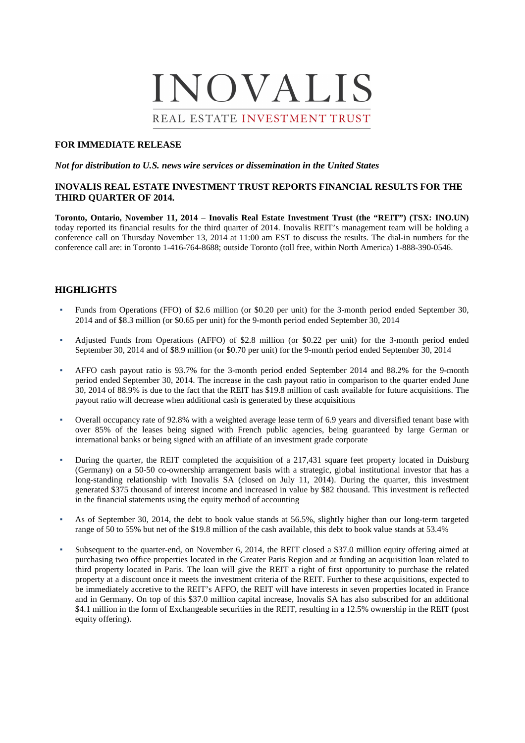# INOVALIS REAL ESTATE INVESTMENT TRUST

#### **FOR IMMEDIATE RELEASE**

#### *Not for distribution to U.S. news wire services or dissemination in the United States*

#### **INOVALIS REAL ESTATE INVESTMENT TRUST REPORTS FINANCIAL RESULTS FOR THE THIRD QUARTER OF 2014.**

**Toronto, Ontario, November 11, 2014** – **Inovalis Real Estate Investment Trust (the "REIT") (TSX: INO.UN)**  today reported its financial results for the third quarter of 2014. Inovalis REIT's management team will be holding a conference call on Thursday November 13, 2014 at 11:00 am EST to discuss the results. The dial-in numbers for the conference call are: in Toronto 1-416-764-8688; outside Toronto (toll free, within North America) 1-888-390-0546.

## **HIGHLIGHTS**

- Funds from Operations (FFO) of \$2.6 million (or \$0.20 per unit) for the 3-month period ended September 30, 2014 and of \$8.3 million (or \$0.65 per unit) for the 9-month period ended September 30, 2014
- Adjusted Funds from Operations (AFFO) of \$2.8 million (or \$0.22 per unit) for the 3-month period ended September 30, 2014 and of \$8.9 million (or \$0.70 per unit) for the 9-month period ended September 30, 2014
- AFFO cash payout ratio is 93.7% for the 3-month period ended September 2014 and 88.2% for the 9-month period ended September 30, 2014. The increase in the cash payout ratio in comparison to the quarter ended June 30, 2014 of 88.9% is due to the fact that the REIT has \$19.8 million of cash available for future acquisitions. The payout ratio will decrease when additional cash is generated by these acquisitions
- Overall occupancy rate of 92.8% with a weighted average lease term of 6.9 years and diversified tenant base with over 85% of the leases being signed with French public agencies, being guaranteed by large German or international banks or being signed with an affiliate of an investment grade corporate
- During the quarter, the REIT completed the acquisition of a 217,431 square feet property located in Duisburg (Germany) on a 50-50 co-ownership arrangement basis with a strategic, global institutional investor that has a long-standing relationship with Inovalis SA (closed on July 11, 2014). During the quarter, this investment generated \$375 thousand of interest income and increased in value by \$82 thousand. This investment is reflected in the financial statements using the equity method of accounting
- As of September 30, 2014, the debt to book value stands at 56.5%, slightly higher than our long-term targeted range of 50 to 55% but net of the \$19.8 million of the cash available, this debt to book value stands at 53.4%
- Subsequent to the quarter-end, on November 6, 2014, the REIT closed a \$37.0 million equity offering aimed at purchasing two office properties located in the Greater Paris Region and at funding an acquisition loan related to third property located in Paris. The loan will give the REIT a right of first opportunity to purchase the related property at a discount once it meets the investment criteria of the REIT. Further to these acquisitions, expected to be immediately accretive to the REIT's AFFO, the REIT will have interests in seven properties located in France and in Germany. On top of this \$37.0 million capital increase, Inovalis SA has also subscribed for an additional \$4.1 million in the form of Exchangeable securities in the REIT, resulting in a 12.5% ownership in the REIT (post equity offering).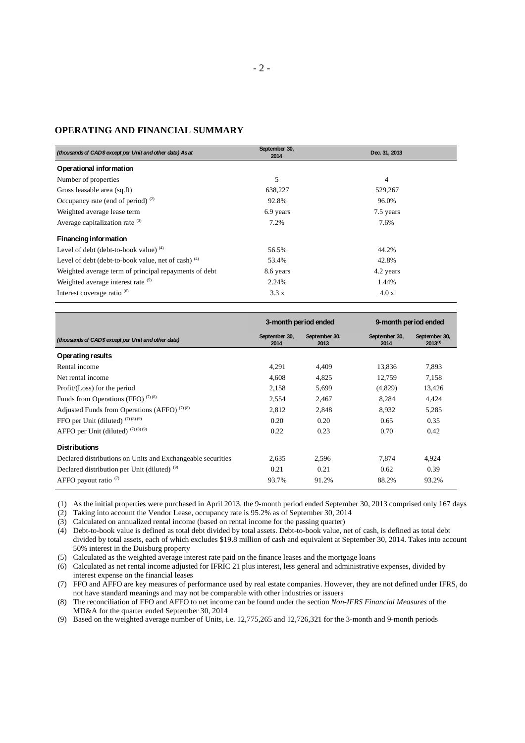## **OPERATING AND FINANCIAL SUMMARY**

| (thousands of CAD\$ except per Unit and other data) As at | September 30,<br>2014 | Dec. 31, 2013  |
|-----------------------------------------------------------|-----------------------|----------------|
| Operational information                                   |                       |                |
| Number of properties                                      | 5                     | $\overline{4}$ |
| Gross leasable area (sq.ft)                               | 638,227               | 529,267        |
| Occupancy rate (end of period) $(2)$                      | 92.8%                 | 96.0%          |
| Weighted average lease term                               | 6.9 years             | 7.5 years      |
| Average capitalization rate $(3)$                         | 7.2%                  | 7.6%           |
| Financing information                                     |                       |                |
| Level of debt (debt-to-book value) $(4)$                  | 56.5%                 | 44.2%          |
| Level of debt (debt-to-book value, net of cash) $(4)$     | 53.4%                 | 42.8%          |
| Weighted average term of principal repayments of debt     | 8.6 years             | 4.2 years      |
| Weighted average interest rate (5)                        | 2.24%                 | 1.44%          |
| Interest coverage ratio <sup>6</sup>                      | 3.3 x                 | 4.0 x          |

|                                                             | 3-month period ended  |                       | 9-month period ended  |                               |
|-------------------------------------------------------------|-----------------------|-----------------------|-----------------------|-------------------------------|
| (thousands of CAD\$ except per Unit and other data)         | September 30,<br>2014 | September 30,<br>2013 | September 30,<br>2014 | September 30,<br>$2013^{(1)}$ |
| Operating results                                           |                       |                       |                       |                               |
| Rental income                                               | 4,291                 | 4,409                 | 13,836                | 7,893                         |
| Net rental income                                           | 4,608                 | 4,825                 | 12,759                | 7,158                         |
| Profit/(Loss) for the period                                | 2,158                 | 5,699                 | (4,829)               | 13,426                        |
| Funds from Operations (FFO) $(7)(8)$                        | 2,554                 | 2,467                 | 8,284                 | 4,424                         |
| Adjusted Funds from Operations (AFFO) $(7)(8)$              | 2,812                 | 2,848                 | 8,932                 | 5,285                         |
| FFO per Unit (diluted) $(7)(8)(9)$                          | 0.20                  | 0.20                  | 0.65                  | 0.35                          |
| AFFO per Unit (diluted) $(7)(8)(9)$                         | 0.22                  | 0.23                  | 0.70                  | 0.42                          |
| <b>Distributions</b>                                        |                       |                       |                       |                               |
| Declared distributions on Units and Exchangeable securities | 2.635                 | 2.596                 | 7.874                 | 4.924                         |
| Declared distribution per Unit (diluted) <sup>(9)</sup>     | 0.21                  | 0.21                  | 0.62                  | 0.39                          |
| AFFO payout ratio $(7)$                                     | 93.7%                 | 91.2%                 | 88.2%                 | 93.2%                         |

(1) As the initial properties were purchased in April 2013, the 9-month period ended September 30, 2013 comprised only 167 days

(2) Taking into account the Vendor Lease, occupancy rate is 95.2% as of September 30, 2014

(3) Calculated on annualized rental income (based on rental income for the passing quarter)

(4) Debt-to-book value is defined as total debt divided by total assets. Debt-to-book value, net of cash, is defined as total debt divided by total assets, each of which excludes \$19.8 million of cash and equivalent at September 30, 2014. Takes into account 50% interest in the Duisburg property

(5) Calculated as the weighted average interest rate paid on the finance leases and the mortgage loans

(6) Calculated as net rental income adjusted for IFRIC 21 plus interest, less general and administrative expenses, divided by interest expense on the financial leases

(7) FFO and AFFO are key measures of performance used by real estate companies. However, they are not defined under IFRS, do not have standard meanings and may not be comparable with other industries or issuers

(8) The reconciliation of FFO and AFFO to net income can be found under the section *Non-IFRS Financial Measures* of the MD&A for the quarter ended September 30, 2014

(9) Based on the weighted average number of Units, i.e. 12,775,265 and 12,726,321 for the 3-month and 9-month periods